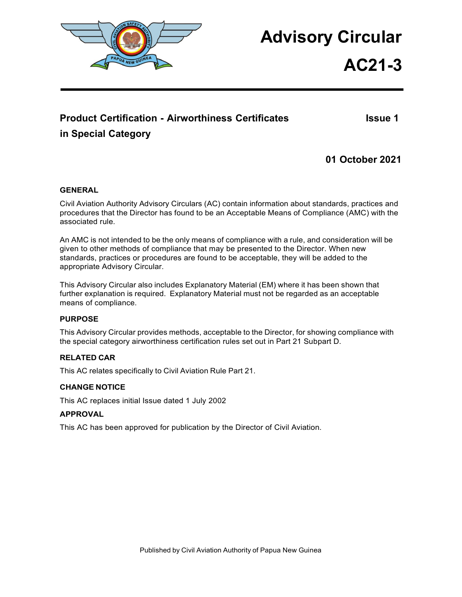

# **Advisory Circular**

# **AC21-3**

# **Product Certification - Airworthiness Certificates Integral and Issue 1 in Special Category**

**01 October 2021**

#### <span id="page-0-0"></span>**GENERAL**

Civil Aviation Authority Advisory Circulars (AC) contain information about standards, practices and procedures that the Director has found to be an Acceptable Means of Compliance (AMC) with the associated rule.

An AMC is not intended to be the only means of compliance with a rule, and consideration will be given to other methods of compliance that may be presented to the Director. When new standards, practices or procedures are found to be acceptable, they will be added to the appropriate Advisory Circular.

This Advisory Circular also includes Explanatory Material (EM) where it has been shown that further explanation is required. Explanatory Material must not be regarded as an acceptable means of compliance.

#### **PURPOSE**

This Advisory Circular provides methods, acceptable to the Director, for showing compliance with the special category airworthiness certification rules set out in Part 21 Subpart D.

#### **RELATED CAR**

This AC relates specifically to Civil Aviation Rule Part 21.

#### **CHANGE NOTICE**

This AC replaces initial Issue dated 1 July 2002

#### **APPROVAL**

This AC has been approved for publication by the Director of Civil Aviation.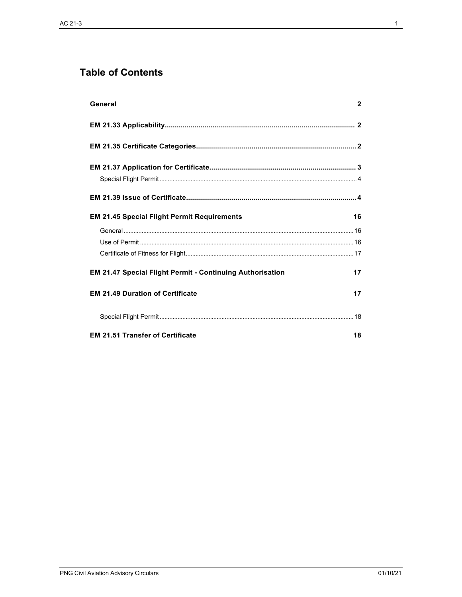# **Table of Contents**

| General                                                   | $\mathbf{2}$ |
|-----------------------------------------------------------|--------------|
|                                                           |              |
|                                                           |              |
|                                                           |              |
|                                                           |              |
|                                                           |              |
| <b>EM 21.45 Special Flight Permit Requirements</b>        | 16           |
|                                                           |              |
|                                                           |              |
|                                                           |              |
| EM 21.47 Special Flight Permit - Continuing Authorisation | 17           |
| <b>EM 21.49 Duration of Certificate</b>                   | 17           |
|                                                           |              |
| <b>EM 21.51 Transfer of Certificate</b>                   | 18           |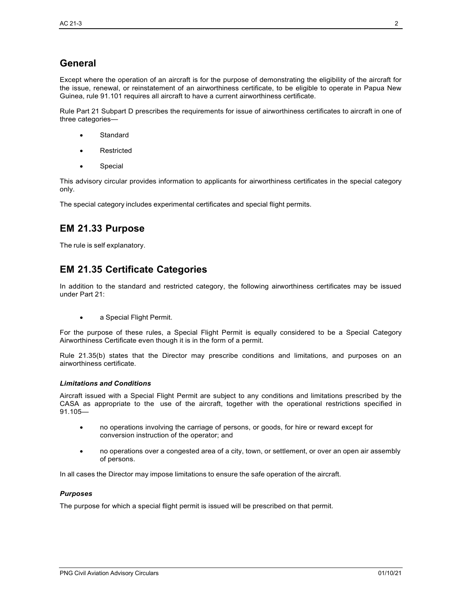# **General**

Except where the operation of an aircraft is for the purpose of demonstrating the eligibility of the aircraft for the issue, renewal, or reinstatement of an airworthiness certificate, to be eligible to operate in Papua New Guinea, rule 91.101 requires all aircraft to have a current airworthiness certificate.

Rule Part 21 Subpart D prescribes the requirements for issue of airworthiness certificates to aircraft in one of three categories—

- **Standard**
- **Restricted**
- Special

This advisory circular provides information to applicants for airworthiness certificates in the special category only.

The special category includes experimental certificates and special flight permits.

## **EM 21.33 Purpose**

The rule is self explanatory.

### <span id="page-2-0"></span>**EM 21.35 Certificate Categories**

In addition to the standard and restricted category, the following airworthiness certificates may be issued under Part 21:

• a Special Flight Permit.

For the purpose of these rules, a Special Flight Permit is equally considered to be a Special Category Airworthiness Certificate even though it is in the form of a permit.

Rule 21.35(b) states that the Director may prescribe conditions and limitations, and purposes on an airworthiness certificate.

#### *Limitations and Conditions*

Aircraft issued with a Special Flight Permit are subject to any conditions and limitations prescribed by the CASA as appropriate to the use of the aircraft, together with the operational restrictions specified in 91.105—

- no operations involving the carriage of persons, or goods, for hire or reward except for conversion instruction of the operator; and
- no operations over a congested area of a city, town, or settlement, or over an open air assembly of persons.

In all cases the Director may impose limitations to ensure the safe operation of the aircraft.

#### *Purposes*

The purpose for which a special flight permit is issued will be prescribed on that permit.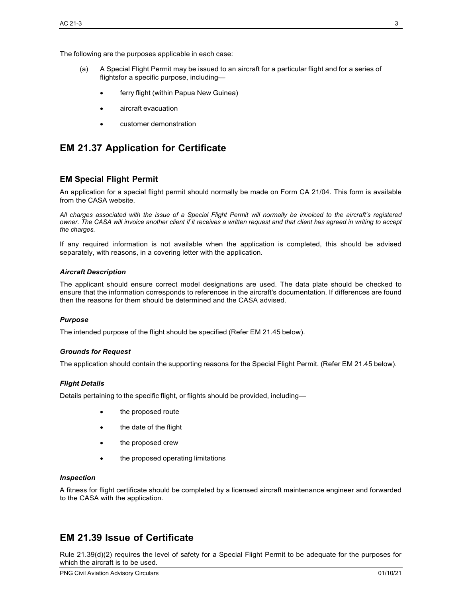The following are the purposes applicable in each case:

- (a) A Special Flight Permit may be issued to an aircraft for a particular flight and for a series of flightsfor a specific purpose, including
	- ferry flight (within Papua New Guinea)
	- aircraft evacuation
	- customer demonstration

## <span id="page-3-0"></span>**EM 21.37 Application for Certificate**

#### <span id="page-3-1"></span>**EM Special Flight Permit**

An application for a special flight permit should normally be made on Form CA 21/04. This form is available from the CASA website.

*All charges associated with the issue of a Special Flight Permit will normally be invoiced to the aircraft's registered owner. The CASA will invoice another client if it receives a written request and that client has agreed in writing to accept the charges.*

If any required information is not available when the application is completed, this should be advised separately, with reasons, in a covering letter with the application.

#### *Aircraft Description*

The applicant should ensure correct model designations are used. The data plate should be checked to ensure that the information corresponds to references in the aircraft's documentation. If differences are found then the reasons for them should be determined and the CASA advised.

#### *Purpose*

The intended purpose of the flight should be specified (Refer EM 21.45 below).

#### *Grounds for Request*

The application should contain the supporting reasons for the Special Flight Permit. (Refer EM 21.45 below).

#### *Flight Details*

Details pertaining to the specific flight, or flights should be provided, including—

- the proposed route
- the date of the flight
- the proposed crew
- the proposed operating limitations

#### *Inspection*

A fitness for flight certificate should be completed by a licensed aircraft maintenance engineer and forwarded to the CASA with the application.

### <span id="page-3-2"></span>**EM 21.39 Issue of Certificate**

Rule 21.39(d)(2) requires the level of safety for a Special Flight Permit to be adequate for the purposes for which the aircraft is to be used.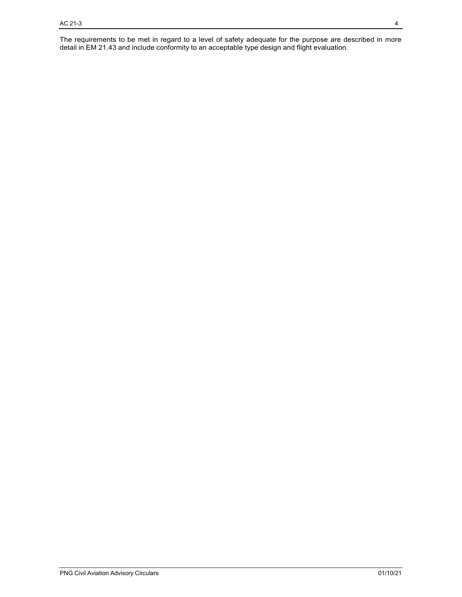The requirements to be met in regard to a level of safety adequate for the purpose are described in more detail in EM 21.43 and include conformity to an acceptable type design and flight evaluation.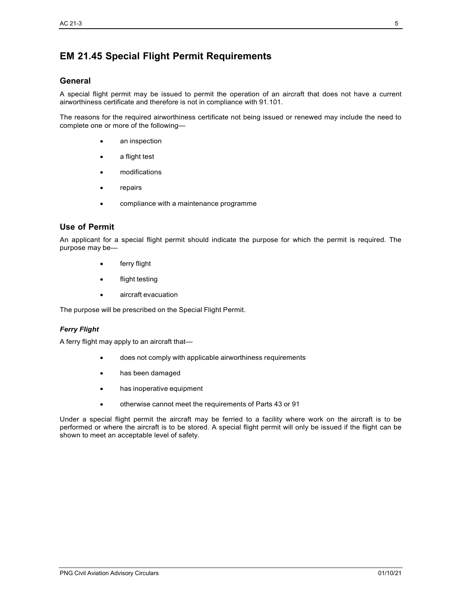# <span id="page-5-0"></span>**EM 21.45 Special Flight Permit Requirements**

#### <span id="page-5-1"></span>**General**

A special flight permit may be issued to permit the operation of an aircraft that does not have a current airworthiness certificate and therefore is not in compliance with 91.101.

The reasons for the required airworthiness certificate not being issued or renewed may include the need to complete one or more of the following—

- an inspection
- a flight test
- modifications
- **repairs**
- compliance with a maintenance programme

#### <span id="page-5-2"></span>**Use of Permit**

An applicant for a special flight permit should indicate the purpose for which the permit is required. The purpose may be—

- ferry flight
- flight testing
- aircraft evacuation

The purpose will be prescribed on the Special Flight Permit.

#### *Ferry Flight*

A ferry flight may apply to an aircraft that—

- does not comply with applicable airworthiness requirements
- has been damaged
- has inoperative equipment
- otherwise cannot meet the requirements of Parts 43 or 91

Under a special flight permit the aircraft may be ferried to a facility where work on the aircraft is to be performed or where the aircraft is to be stored. A special flight permit will only be issued if the flight can be shown to meet an acceptable level of safety.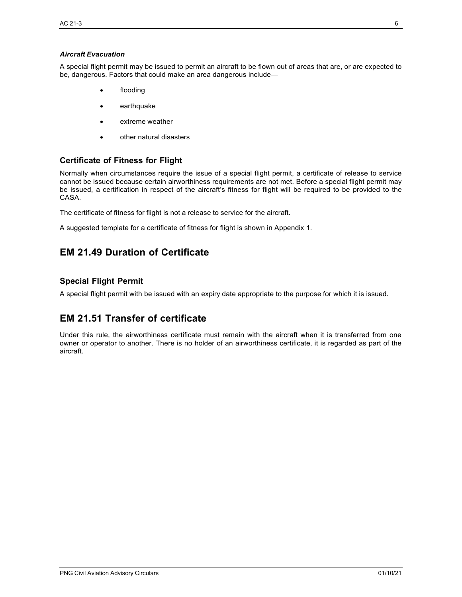#### *Aircraft Evacuation*

A special flight permit may be issued to permit an aircraft to be flown out of areas that are, or are expected to be, dangerous. Factors that could make an area dangerous include—

- flooding
- **earthquake**
- extreme weather
- other natural disasters

#### <span id="page-6-0"></span>**Certificate of Fitness for Flight**

Normally when circumstances require the issue of a special flight permit, a certificate of release to service cannot be issued because certain airworthiness requirements are not met. Before a special flight permit may be issued, a certification in respect of the aircraft's fitness for flight will be required to be provided to the CASA.

The certificate of fitness for flight is not a release to service for the aircraft.

A suggested template for a certificate of fitness for flight is shown in Appendix 1.

# <span id="page-6-1"></span>**EM 21.49 Duration of Certificate**

#### <span id="page-6-2"></span>**Special Flight Permit**

A special flight permit with be issued with an expiry date appropriate to the purpose for which it is issued.

# <span id="page-6-3"></span>**EM 21.51 Transfer of certificate**

Under this rule, the airworthiness certificate must remain with the aircraft when it is transferred from one owner or operator to another. There is no holder of an airworthiness certificate, it is regarded as part of the aircraft.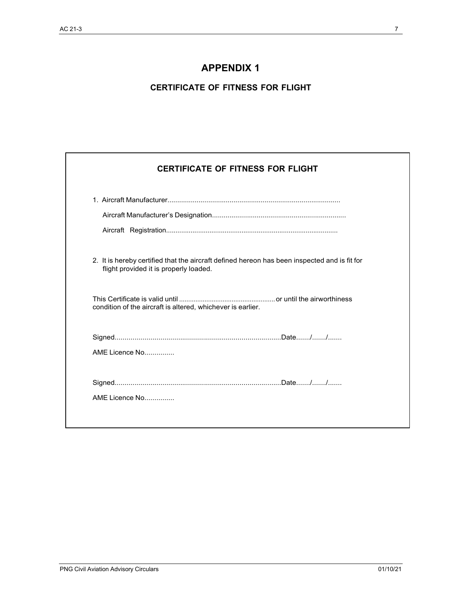# **APPENDIX 1**

### **CERTIFICATE OF FITNESS FOR FLIGHT**

| 2. It is hereby certified that the aircraft defined hereon has been inspected and is fit for<br>flight provided it is properly loaded. |
|----------------------------------------------------------------------------------------------------------------------------------------|
| condition of the aircraft is altered, whichever is earlier.                                                                            |
|                                                                                                                                        |
| AMF Licence No                                                                                                                         |
|                                                                                                                                        |

 $\overline{\phantom{a}}$